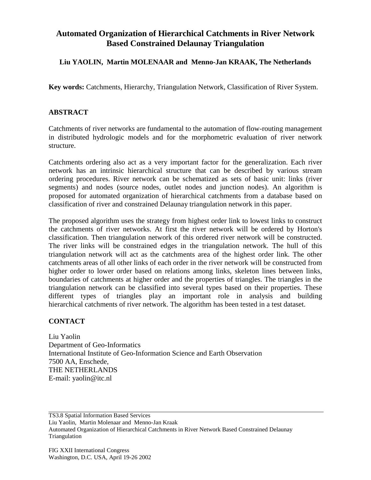## **Automated Organization of Hierarchical Catchments in River Network Based Constrained Delaunay Triangulation**

## **Liu YAOLIN, Martin MOLENAAR and Menno-Jan KRAAK, The Netherlands**

**Key words:** Catchments, Hierarchy, Triangulation Network, Classification of River System.

## **ABSTRACT**

Catchments of river networks are fundamental to the automation of flow-routing management in distributed hydrologic models and for the morphometric evaluation of river network structure.

Catchments ordering also act as a very important factor for the generalization. Each river network has an intrinsic hierarchical structure that can be described by various stream ordering procedures. River network can be schematized as sets of basic unit: links (river segments) and nodes (source nodes, outlet nodes and junction nodes). An algorithm is proposed for automated organization of hierarchical catchments from a database based on classification of river and constrained Delaunay triangulation network in this paper.

The proposed algorithm uses the strategy from highest order link to lowest links to construct the catchments of river networks. At first the river network will be ordered by Horton's classification. Then triangulation network of this ordered river network will be constructed. The river links will be constrained edges in the triangulation network. The hull of this triangulation network will act as the catchments area of the highest order link. The other catchments areas of all other links of each order in the river network will be constructed from higher order to lower order based on relations among links, skeleton lines between links, boundaries of catchments at higher order and the properties of triangles. The triangles in the triangulation network can be classified into several types based on their properties. These different types of triangles play an important role in analysis and building hierarchical catchments of river network. The algorithm has been tested in a test dataset.

## **CONTACT**

Liu Yaolin Department of Geo-Informatics International Institute of Geo-Information Science and Earth Observation 7500 AA, Enschede, THE NETHERLANDS E-mail: yaolin@itc.nl

TS3.8 Spatial Information Based Services

Liu Yaolin, Martin Molenaar and Menno-Jan Kraak

Automated Organization of Hierarchical Catchments in River Network Based Constrained Delaunay Triangulation